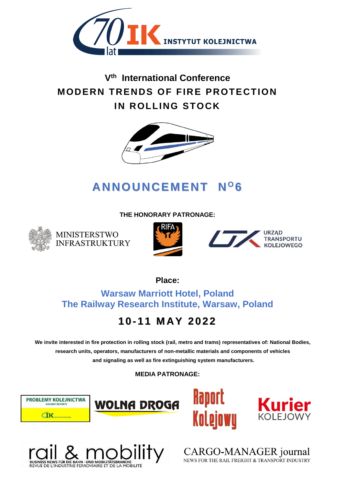

## **Vth International Conference MODERN TRENDS OF FIRE PROTECTION IN ROLLING STOCK**



# **ANNOUNCEMENT N <sup>O</sup> 6**

**THE HONORARY PATRONAGE:**



**MINISTERSTWO INFRASTRUKTURY** 





**Place:**

**Warsaw Marriott Hotel, Poland The Railway Research Institute, Warsaw, Poland**

## **10- 11 M AY 2022**

**We invite interested in fire protection in rolling stock (rail, metro and trams) representatives of: National Bodies, research units, operators, manufacturers of non-metallic materials and components of vehicles and signaling as well as fire extinguishing system manufacturers.**

**MEDIA PATRONAGE:**











CARGO-MANAGER journal NEWS FOR THE RAIL FREIGHT & TRANSPORT INDUSTRY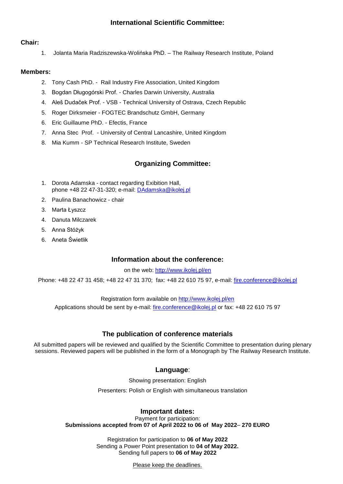### **International Scientific Committee:**

### **Chair:**

1. Jolanta Maria Radziszewska-Wolińska PhD. – The Railway Research Institute, Poland

### **Members:**

- 2. Tony Cash PhD. Rail Industry Fire Association, United Kingdom
- 3. Bogdan Długogórski Prof. Charles Darwin University, Australia
- 4. Aleš Dudaček Prof. VSB Technical University of Ostrava, Czech Republic
- 5. Roger Dirksmeier FOGTEC Brandschutz GmbH, Germany
- 6. Eric Guillaume PhD. Efectis, France
- 7. Anna Stec Prof. University of Central Lancashire, United Kingdom
- 8. Mia Kumm SP Technical Research Institute, Sweden

### **Organizing Committee:**

- 1. Dorota Adamska contact regarding Exibition Hall, phone +48 22 47-31-320; e-mail: [DAdamska@ikolej.pl](mailto:DAdamska@ikolej.pl)
- 2. Paulina Banachowicz chair
- 3. Marta Łyszcz
- 4. Danuta Milczarek
- 5. Anna Stóżyk
- 6. Aneta Świetlik

### **Information about the conference:**

on the web:<http://www.ikolej.pl/en>

Phone: +48 22 47 31 458; +48 22 47 31 370; fax: +48 22 610 75 97, e-mail: [fire.conference@ikolej.pl](mailto:fire.conference@ikolej.pl)

Registration form available on <http://www.ikolej.pl/en>

Applications should be sent by e-mail: [fire.conference@ikolej.pl](../../../../Downloads/fire.conference@ikolej.pl) or fax: +48 22 610 75 97

### **The publication of conference materials**

All submitted papers will be reviewed and qualified by the Scientific Committee to presentation during plenary sessions. Reviewed papers will be published in the form of a Monograph by The Railway Research Institute.

### **Language**:

Showing presentation: English

Presenters: Polish or English with simultaneous translation

### **Important dates:**

Payment for participation: **Submissions accepted from 07 of April 2022 to 06 of May 2022**– **270 EURO**

> Registration for participation to **06 of May 2022** Sending a Power Point presentation to **04 of May 2022.** Sending full papers to **06 of May 2022**

> > Please keep the deadlines.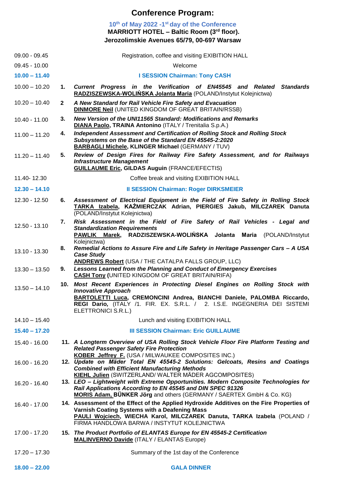### **Conference Program:**

### **10th of May 2022 -1 st day of the Conference MARRIOTT HOTEL – Baltic Room (3rd floor). Jerozolimskie Avenues 65/79, 00-697 Warsaw**

| $09.00 - 09.45$ |              | Registration, coffee and visiting EXIBITION HALL                                                                                                                                                                                                                                           |
|-----------------|--------------|--------------------------------------------------------------------------------------------------------------------------------------------------------------------------------------------------------------------------------------------------------------------------------------------|
| $09.45 - 10.00$ |              | Welcome                                                                                                                                                                                                                                                                                    |
| $10.00 - 11.40$ |              | <b>I SESSION Chairman: Tony CASH</b>                                                                                                                                                                                                                                                       |
| $10.00 - 10.20$ | 1.           | Current Progress in the Verification of EN45545 and Related Standards<br>RADZISZEWSKA-WOLIŃSKA Jolanta Maria (POLAND/Instytut Kolejnictwa)                                                                                                                                                 |
| $10.20 - 10.40$ | $\mathbf{2}$ | A New Standard for Rail Vehicle Fire Safety and Evacuation<br><b>DINMORE Neil (UNITED KINGDOM OF GREAT BRITAIN/RSSB)</b>                                                                                                                                                                   |
| 10.40 - 11.00   | 3.           | New Version of the UNI11565 Standard: Modifications and Remarks<br>DIANA Paolo, TRAINA Antonino (ITALY / Trenitalia S.p.A.)                                                                                                                                                                |
| $11.00 - 11.20$ | 4.           | Independent Assessment and Certification of Rolling Stock and Rolling Stock<br>Subsystems on the Base of the Standard EN 45545-2:2020<br><b>BARBAGLI Michele, KLINGER Michael (GERMANY / TUV)</b>                                                                                          |
| $11.20 - 11.40$ | 5.           | Review of Design Fires for Railway Fire Safety Assessment, and for Railways<br><b>Infrastructure Management</b><br><b>GUILLAUME Eric, GILDAS Auguin (FRANCE/EFECTIS)</b>                                                                                                                   |
| 11.40-12.30     |              | Coffee break and visiting EXIBITION HALL                                                                                                                                                                                                                                                   |
| $12.30 - 14.10$ |              | <b>Il SESSION Chairman: Roger DIRKSMEIER</b>                                                                                                                                                                                                                                               |
| 12.30 - 12.50   | 6.           | Assessment of Electrical Equipment in the Field of Fire Safety in Rolling Stock<br>TARKA Izabela, KAŹMIERCZAK Adrian, PIERGIES Jakub, MILCZAREK Danuta<br>(POLAND/Instytut Kolejnictwa)                                                                                                    |
| 12.50 - 13.10   | 7.           | Risk Assessment in the Field of Fire Safety of Rail Vehicles - Legal and<br><b>Standardization Requirements</b><br>RADZISZEWSKA-WOLIŃSKA Jolanta Maria<br><b>PAWLIK</b><br>Marek,<br>(POLAND/Instytut                                                                                      |
| 13.10 - 13.30   | 8.           | Kolejnictwa)<br>Remedial Actions to Assure Fire and Life Safety in Heritage Passenger Cars - A USA<br><b>Case Study</b><br><b>ANDREWS Robert (USA / THE CATALPA FALLS GROUP, LLC)</b>                                                                                                      |
| $13.30 - 13.50$ | 9.           | <b>Lessons Learned from the Planning and Conduct of Emergency Exercises</b><br><b>CASH Tony (UNITED KINGDOM OF GREAT BRITAIN/RIFA)</b>                                                                                                                                                     |
| $13.50 - 14.10$ |              | 10. Most Recent Experiences in Protecting Diesel Engines on Rolling Stock with<br><b>Innovative Approach</b><br>BARTOLETTI Luca, CREMONCINI Andrea, BIANCHI Daniele, PALOMBA Riccardo,<br>REGI Dario, (ITALY /1. FIR. EX. S.R.L. / 2. I.S.E. INGEGNERIA DEI SISTEMI<br>ELETTRONICI S.R.L.) |
| $14.10 - 15.40$ |              | Lunch and visiting EXIBITION HALL                                                                                                                                                                                                                                                          |
| $15.40 - 17.20$ |              | <b>III SESSION Chairman: Eric GUILLAUME</b>                                                                                                                                                                                                                                                |
| 15.40 - 16.00   |              | 11. A Longterm Overview of USA Rolling Stock Vehicle Floor Fire Platform Testing and<br><b>Related Passenger Safety Fire Protection</b><br><b>KOBER Jeffrey F. (USA / MILWAUKEE COMPOSITES INC.)</b>                                                                                       |
| 16.00 - 16.20   |              | 12. Update on Mäder Total EN 45545-2 Solutions: Gelcoats, Resins and Coatings<br><b>Combined with Efficient Manufacturing Methods</b><br><b>KIEHL Julien (SWITZERLAND/ WALTER MÄDER AGCOMPOSITES)</b>                                                                                      |
| 16.20 - 16.40   |              | 13. LEO - Lightweight with Extreme Opportunities. Modern Composite Technologies for<br>Rail Applications According to EN 45545 and DIN SPEC 91326<br>MORIS Adam, BÜNKER Jörg and others (GERMANY / SAERTEX GmbH & Co. KG)                                                                  |
| 16.40 - 17.00   |              | 14. Assessment of the Effect of the Applied Hydroxide Additives on the Fire Properties of<br>Varnish Coating Systems with a Deafening Mass<br><b>PAULI Wojciech, WIECHA Karol, MILCZAREK Danuta, TARKA Izabela (POLAND /</b><br>FIRMA HANDLOWA BARWA / INSTYTUT KOLEJNICTWA                |
| 17.00 - 17.20   |              | 15. The Product Portfolio of ELANTAS Europe for EN 45545-2 Certification<br><b>MALINVERNO Davide (ITALY / ELANTAS Europe)</b>                                                                                                                                                              |
| $17.20 - 17.30$ |              | Summary of the 1st day of the Conference                                                                                                                                                                                                                                                   |
| $18.00 - 22.00$ |              | <b>GALA DINNER</b>                                                                                                                                                                                                                                                                         |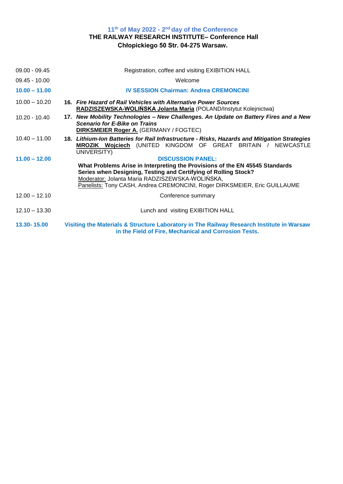### 11<sup>th</sup> of May 2022 - 2<sup>nd</sup> day of the Conference **THE RAILWAY RESEARCH INSTITUTE– Conference Hall Chłopickiego 50 Str. 04-275 Warsaw.**

| $09.00 - 09.45$ | Registration, coffee and visiting EXIBITION HALL                                                                                                                                                                                                                                                            |
|-----------------|-------------------------------------------------------------------------------------------------------------------------------------------------------------------------------------------------------------------------------------------------------------------------------------------------------------|
| $09.45 - 10.00$ | Welcome                                                                                                                                                                                                                                                                                                     |
| $10.00 - 11.00$ | <b>IV SESSION Chairman: Andrea CREMONCINI</b>                                                                                                                                                                                                                                                               |
| $10.00 - 10.20$ | 16. Fire Hazard of Rail Vehicles with Alternative Power Sources<br>RADZISZEWSKA-WOLIŃSKA Jolanta Maria (POLAND/Instytut Kolejnictwa)                                                                                                                                                                        |
| $10.20 - 10.40$ | 17. New Mobility Technologies - New Challenges. An Update on Battery Fires and a New<br><b>Scenario for E-Bike on Trains</b><br><b>DIRKSMEIER Roger A.</b> (GERMANY / FOGTEC)                                                                                                                               |
| $10.40 - 11.00$ | 18. Lithium-Ion Batteries for Rail Infrastructure - Risks, Hazards and Mitigation Strategies<br>MROZIK Wojciech (UNITED KINGDOM OF GREAT BRITAIN / NEWCASTLE<br>UNIVERSITY)                                                                                                                                 |
| $11.00 - 12.00$ | <b>DISCUSSION PANEL:</b><br>What Problems Arise in Interpreting the Provisions of the EN 45545 Standards<br>Series when Designing, Testing and Certifying of Rolling Stock?<br>Moderator: Jolanta Maria RADZISZEWSKA-WOLIŃSKA,<br>Panelists: Tony CASH, Andrea CREMONCINI, Roger DIRKSMEIER, Eric GUILLAUME |
| $12.00 - 12.10$ | Conference summary                                                                                                                                                                                                                                                                                          |
| $12.10 - 13.30$ | Lunch and visiting EXIBITION HALL                                                                                                                                                                                                                                                                           |
| 13.30-15.00     | Visiting the Materials & Structure Laboratory in The Railway Research Institute in Warsaw<br>in the Field of Fire, Mechanical and Corrosion Tests.                                                                                                                                                          |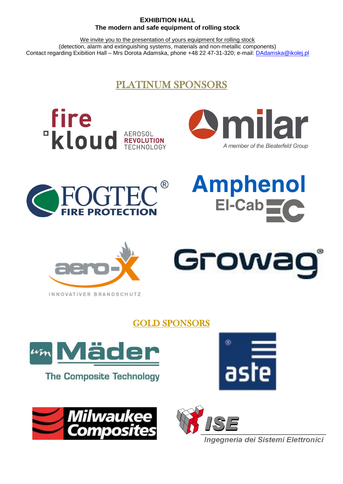### **EXHIBITION HALL The modern and safe equipment of rolling stock**

We invite you to the presentation of yours equipment for rolling stock (detection, alarm and extinguishing systems, materials and non-metallic components) Contact regarding Exibition Hall – Mrs Dorota Adamska, phone +48 22 47-31-320; e-mail: [DAdamska@ikolej.pl](mailto:DAdamska@ikolej.pl) 

### PLATINUM SPONSORS













### GOLD SPONSORS



**The Composite Technology** 







Ingegneria dei Sistemi Elettronici